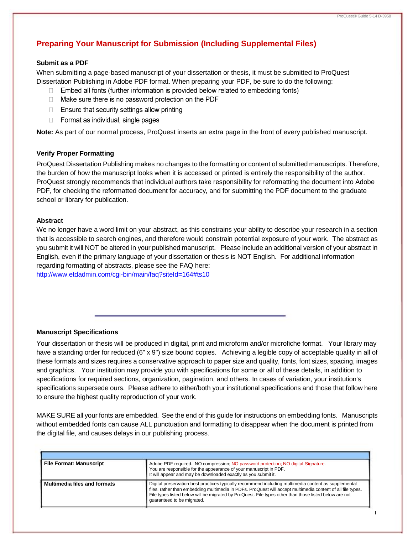# **Preparing Your Manuscript for Submission (Including Supplemental Files)**

# **Submit as a PDF**

When submitting a page-based manuscript of your dissertation or thesis, it must be submitted to ProQuest Dissertation Publishing in Adobe PDF format. When preparing your PDF, be sure to do the following:

- Embed all fonts (further information is provided below related to embedding fonts)  $\Box$
- $\Box$  Make sure there is no password protection on the PDF
- $\Box$  Ensure that security settings allow printing
- Format as individual, single pages

**Note:** As part of our normal process, ProQuest inserts an extra page in the front of every published manuscript.

# **Verify Proper Formatting**

ProQuest Dissertation Publishing makes no changes to the formatting or content of submitted manuscripts. Therefore, the burden of how the manuscript looks when it is accessed or printed is entirely the responsibility of the author. ProQuest strongly recommends that individual authors take responsibility for reformatting the document into Adobe PDF, for checking the reformatted document for accuracy, and for submitting the PDF document to the graduate school or library for publication.

# **Abstract**

We no longer have a word limit on your abstract, as this constrains your ability to describe your research in a section that is accessible to search engines, and therefore would constrain potential exposure of your work. The abstract as you submit it will NOT be altered in your published manuscript. Please include an additional version of your abstract in English, even if the primary language of your dissertation or thesis is NOT English. For additional information regarding formatting of abstracts, please see the FAQ here: <http://www.etdadmin.com/cgi-bin/main/faq?siteId=164#ts10>

### **Manuscript Specifications**

Your dissertation or thesis will be produced in digital, print and microform and/or microfiche format. Your library may have a standing order for reduced (6" x 9") size bound copies. Achieving a legible copy of acceptable quality in all of these formats and sizes requires a conservative approach to paper size and quality, fonts, font sizes, spacing, images and graphics. Your institution may provide you with specifications for some or all of these details, in addition to specifications for required sections, organization, pagination, and others. In cases of variation, your institution's specifications supersede ours. Please adhere to either/both your institutional specifications and those that follow here to ensure the highest quality reproduction of your work.

MAKE SURE all your fonts are embedded. See the end of this guide for instructions on embedding fonts. Manuscripts without embedded fonts can cause ALL punctuation and formatting to disappear when the document is printed from the digital file, and causes delays in our publishing process.

| <b>File Format: Manuscript</b> | Adobe PDF required. NO compression; NO password protection; NO digital Signature.<br>You are responsible for the appearance of your manuscript in PDF.<br>It will appear and may be downloaded exactly as you submit it.                                                                                                                                    |
|--------------------------------|-------------------------------------------------------------------------------------------------------------------------------------------------------------------------------------------------------------------------------------------------------------------------------------------------------------------------------------------------------------|
| Multimedia files and formats   | Digital preservation best practices typically recommend including multimedia content as supplemental<br>files, rather than embedding multimedia in PDFs. ProQuest will accept multimedia content of all file types.<br>File types listed below will be migrated by ProQuest. File types other than those listed below are not<br>quaranteed to be migrated. |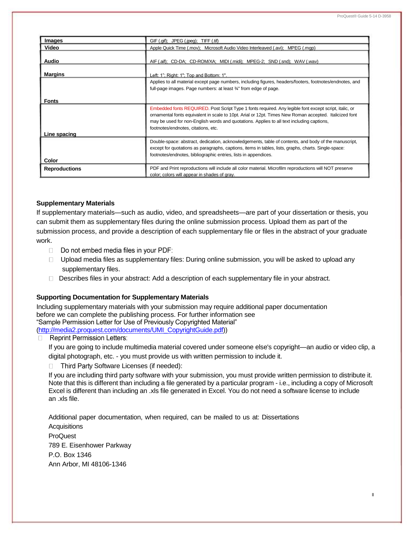| Images               | GIF (.gif); JPEG (.jpeg); TIFF (.tif)                                                                                                                                                                                                                                                                                                                |  |
|----------------------|------------------------------------------------------------------------------------------------------------------------------------------------------------------------------------------------------------------------------------------------------------------------------------------------------------------------------------------------------|--|
| Video                | Apple Quick Time (.mov); Microsoft Audio Video Interleaved (.avi); MPEG (.mgp)                                                                                                                                                                                                                                                                       |  |
| <b>Audio</b>         | AIF (.aif); CD-DA; CD-ROM/XA; MIDI (.midi); MPEG-2; SND (.snd); WAV (.wav)                                                                                                                                                                                                                                                                           |  |
| <b>Margins</b>       | Left: 1": Right: 1": Top and Bottom: 1".                                                                                                                                                                                                                                                                                                             |  |
|                      | Applies to all material except page numbers, including figures, headers/footers, footnotes/endnotes, and<br>full-page images. Page numbers: at least 3/4" from edge of page.                                                                                                                                                                         |  |
| <b>Fonts</b>         |                                                                                                                                                                                                                                                                                                                                                      |  |
|                      | Embedded fonts REQUIRED. Post Script Type 1 fonts required. Any legible font except script, italic, or<br>ornamental fonts equivalent in scale to 10pt. Arial or 12pt. Times New Roman accepted. Italicized font<br>may be used for non-English words and quotations. Applies to all text including captions,<br>footnotes/endnotes, citations, etc. |  |
| Line spacing         |                                                                                                                                                                                                                                                                                                                                                      |  |
| Color                | Double-space: abstract, dedication, acknowledgements, table of contents, and body of the manuscript,<br>except for quotations as paragraphs, captions, items in tables, lists, graphs, charts. Single-space:<br>footnotes/endnotes, bibliographic entries, lists in appendices.                                                                      |  |
| <b>Reproductions</b> | PDF and Print reproductions will include all color material. Microfilm reproductions will NOT preserve<br>color; colors will appear in shades of gray.                                                                                                                                                                                               |  |

#### **Supplementary Materials**

If supplementary materials—such as audio, video, and spreadsheets—are part of your dissertation or thesis, you can submit them as supplementary files during the online submission process. Upload them as part of the submission process, and provide a description of each supplementary file or files in the abstract of your graduate work.

- $\Box$  Do not embed media files in your PDF:
- $\Box$  Upload media files as supplementary files: During online submission, you will be asked to upload any supplementary files.
- Describes files in your abstract: Add a description of each supplementary file in your abstract.

#### **Supporting Documentation for Supplementary Materials**

Including supplementary materials with your submission may require additional paper documentation before we can complete the publishing process. For further information see "Sample Permission Letter for Use of Previously Copyrighted Material" [\(http://media2.proquest.com/documents/UMI\\_CopyrightGuide.pdf\)](http://media2.proquest.com/documents/UMI_CopyrightGuide.pdf))

**Reprint Permission Letters:**  $\Box$ 

> If you are going to include multimedia material covered under someone else's copyright—an audio or video clip, a digital photograph, etc. - you must provide us with written permission to include it.

Third Party Software Licenses (if needed):

If you are including third party software with your submission, you must provide written permission to distribute it. Note that this is different than including a file generated by a particular program - i.e., including a copy of Microsoft Excel is different than including an .xls file generated in Excel. You do not need a software license to include an .xls file.

Additional paper documentation, when required, can be mailed to us at: Dissertations **Acquisitions** ProQuest 789 E. Eisenhower Parkway P.O. Box 1346 Ann Arbor, MI 48106-1346